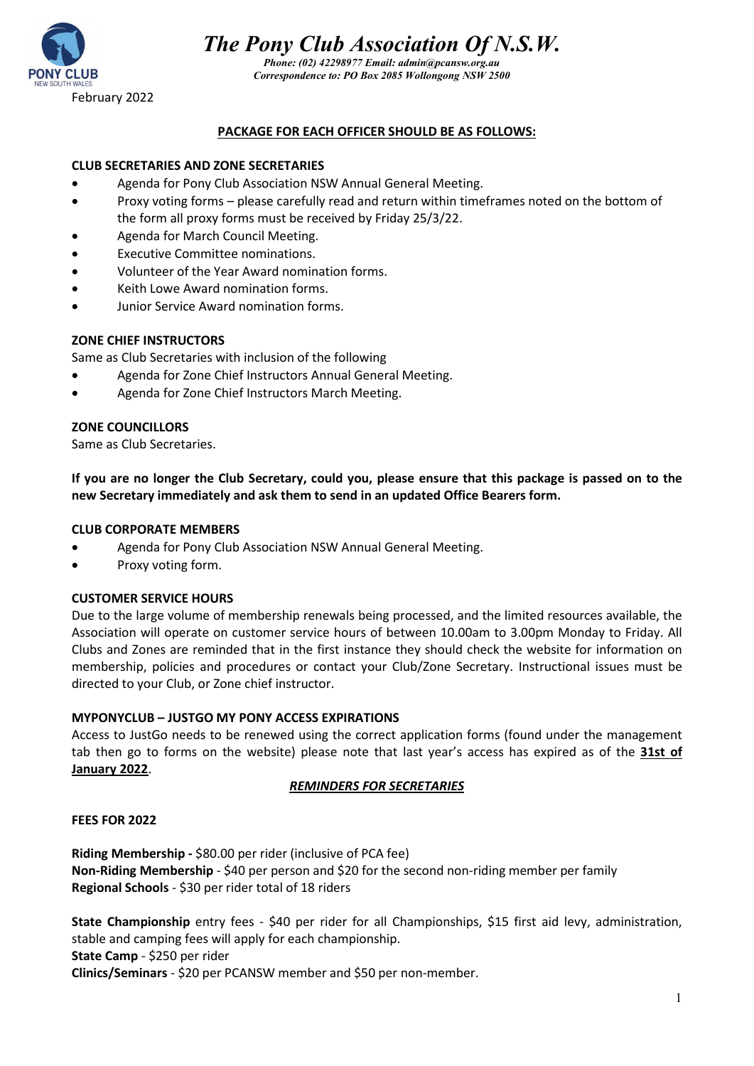

*Phone: (02) 42298977 Email: admin@pcansw.org.au Correspondence to: PO Box 2085 Wollongong NSW 2500*

# **PACKAGE FOR EACH OFFICER SHOULD BE AS FOLLOWS:**

#### **CLUB SECRETARIES AND ZONE SECRETARIES**

- Agenda for Pony Club Association NSW Annual General Meeting.
- Proxy voting forms please carefully read and return within timeframes noted on the bottom of the form all proxy forms must be received by Friday 25/3/22.
- Agenda for March Council Meeting.
- **Executive Committee nominations.**
- Volunteer of the Year Award nomination forms.
- Keith Lowe Award nomination forms.
- Junior Service Award nomination forms.

#### **ZONE CHIEF INSTRUCTORS**

Same as Club Secretaries with inclusion of the following

- Agenda for Zone Chief Instructors Annual General Meeting.
- Agenda for Zone Chief Instructors March Meeting.

#### **ZONE COUNCILLORS**

Same as Club Secretaries.

**If you are no longer the Club Secretary, could you, please ensure that this package is passed on to the new Secretary immediately and ask them to send in an updated Office Bearers form.** 

#### **CLUB CORPORATE MEMBERS**

- Agenda for Pony Club Association NSW Annual General Meeting.
- Proxy voting form.

#### **CUSTOMER SERVICE HOURS**

Due to the large volume of membership renewals being processed, and the limited resources available, the Association will operate on customer service hours of between 10.00am to 3.00pm Monday to Friday. All Clubs and Zones are reminded that in the first instance they should check the website for information on membership, policies and procedures or contact your Club/Zone Secretary. Instructional issues must be directed to your Club, or Zone chief instructor.

## **MYPONYCLUB – JUSTGO MY PONY ACCESS EXPIRATIONS**

Access to JustGo needs to be renewed using the correct application forms (found under the management tab then go to forms on the website) please note that last year's access has expired as of the **31st of January 2022**.

#### *REMINDERS FOR SECRETARIES*

#### **FEES FOR 2022**

**Riding Membership -** \$80.00 per rider (inclusive of PCA fee) **Non-Riding Membership** - \$40 per person and \$20 for the second non-riding member per family **Regional Schools** - \$30 per rider total of 18 riders

**State Championship** entry fees - \$40 per rider for all Championships, \$15 first aid levy, administration, stable and camping fees will apply for each championship.

**State Camp** - \$250 per rider

**Clinics/Seminars** - \$20 per PCANSW member and \$50 per non-member.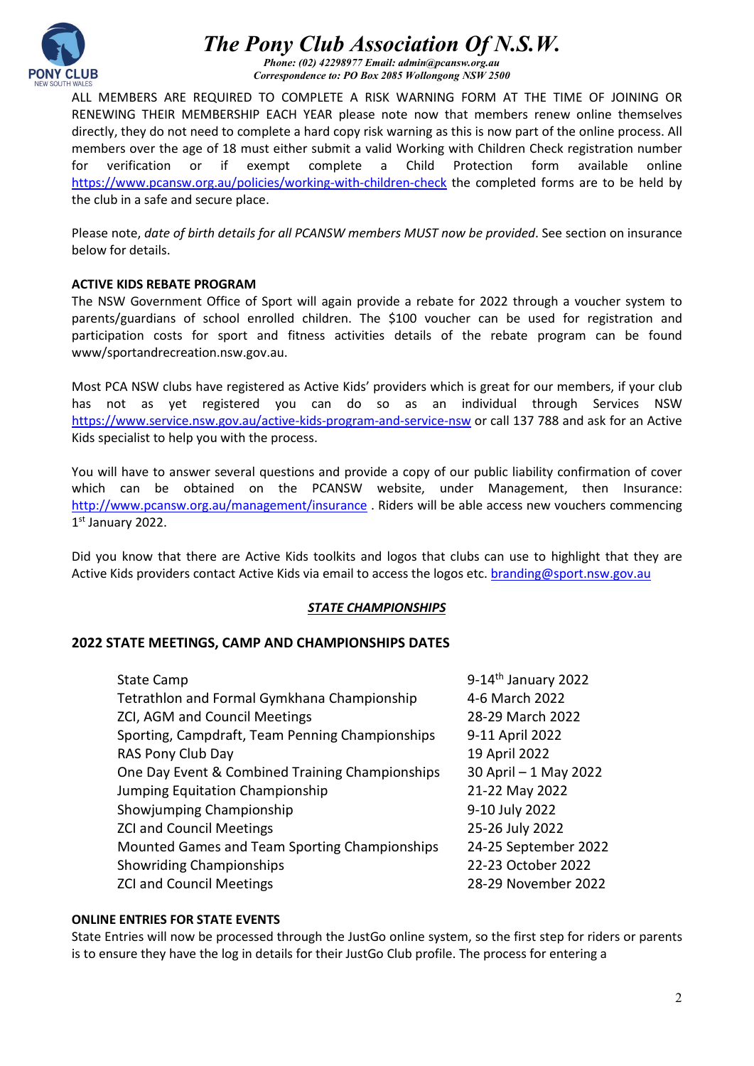

*Phone: (02) 42298977 Email: admin@pcansw.org.au Correspondence to: PO Box 2085 Wollongong NSW 2500*

ALL MEMBERS ARE REQUIRED TO COMPLETE A RISK WARNING FORM AT THE TIME OF JOINING OR RENEWING THEIR MEMBERSHIP EACH YEAR please note now that members renew online themselves directly, they do not need to complete a hard copy risk warning as this is now part of the online process. All members over the age of 18 must either submit a valid Working with Children Check registration number for verification or if exempt complete a Child Protection form available online <https://www.pcansw.org.au/policies/working-with-children-check> the completed forms are to be held by the club in a safe and secure place.

Please note, *date of birth details for all PCANSW members MUST now be provided*. See section on insurance below for details.

# **ACTIVE KIDS REBATE PROGRAM**

The NSW Government Office of Sport will again provide a rebate for 2022 through a voucher system to parents/guardians of school enrolled children. The \$100 voucher can be used for registration and participation costs for sport and fitness activities details of the rebate program can be found www/sportandrecreation.nsw.gov.au.

Most PCA NSW clubs have registered as Active Kids' providers which is great for our members, if your club has not as yet registered you can do so as an individual through Services NSW <https://www.service.nsw.gov.au/active-kids-program-and-service-nsw> or call 137 788 and ask for an Active Kids specialist to help you with the process.

You will have to answer several questions and provide a copy of our public liability confirmation of cover which can be obtained on the PCANSW website, under Management, then Insurance: <http://www.pcansw.org.au/management/insurance> . Riders will be able access new vouchers commencing 1st January 2022.

Did you know that there are Active Kids toolkits and logos that clubs can use to highlight that they are Active Kids providers contact Active Kids via email to access the logos etc[. branding@sport.nsw.gov.au](mailto:branding@sport.nsw.gov.au)

## *STATE CHAMPIONSHIPS*

# **2022 STATE MEETINGS, CAMP AND CHAMPIONSHIPS DATES**

| 9-14th January 2022   |
|-----------------------|
| 4-6 March 2022        |
| 28-29 March 2022      |
| 9-11 April 2022       |
| 19 April 2022         |
| 30 April - 1 May 2022 |
| 21-22 May 2022        |
| 9-10 July 2022        |
| 25-26 July 2022       |
| 24-25 September 2022  |
| 22-23 October 2022    |
| 28-29 November 2022   |
|                       |

## **ONLINE ENTRIES FOR STATE EVENTS**

State Entries will now be processed through the JustGo online system, so the first step for riders or parents is to ensure they have the log in details for their JustGo Club profile. The process for entering a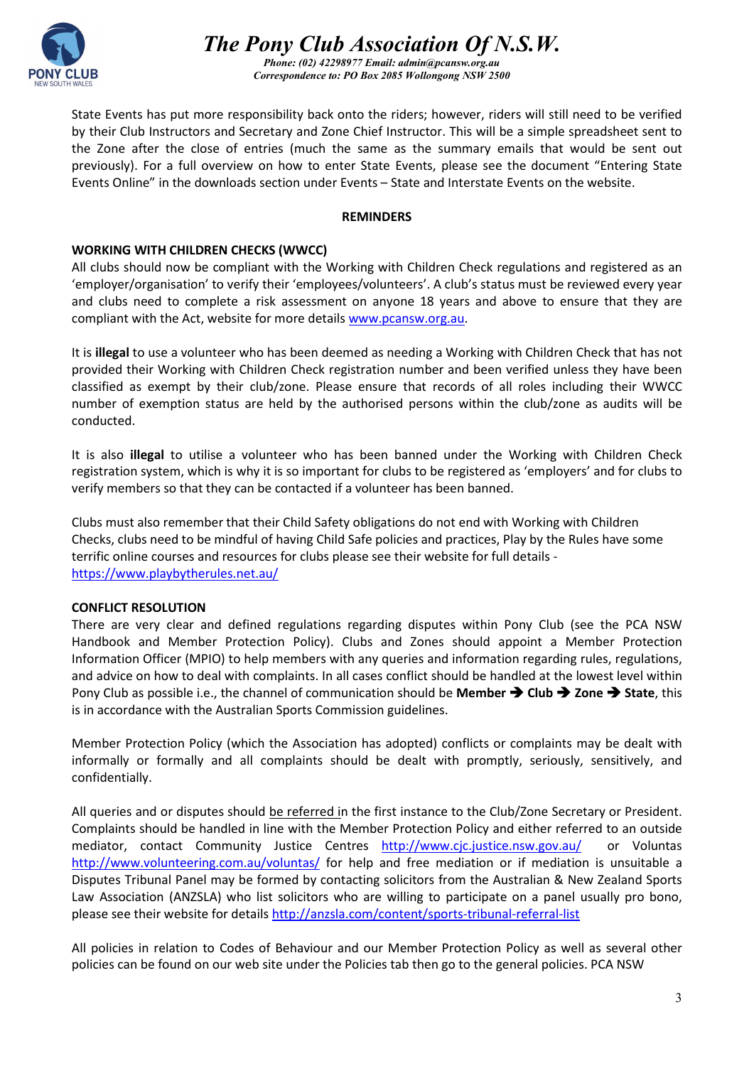

*Phone: (02) 42298977 Email: admin@pcansw.org.au Correspondence to: PO Box 2085 Wollongong NSW 2500*

State Events has put more responsibility back onto the riders; however, riders will still need to be verified by their Club Instructors and Secretary and Zone Chief Instructor. This will be a simple spreadsheet sent to the Zone after the close of entries (much the same as the summary emails that would be sent out previously). For a full overview on how to enter State Events, please see the document "Entering State Events Online" in the downloads section under Events – State and Interstate Events on the website.

#### **REMINDERS**

# **WORKING WITH CHILDREN CHECKS (WWCC)**

All clubs should now be compliant with the Working with Children Check regulations and registered as an 'employer/organisation' to verify their 'employees/volunteers'. A club's status must be reviewed every year and clubs need to complete a risk assessment on anyone 18 years and above to ensure that they are compliant with the Act, website for more details [www.pcansw.org.au.](http://www.pcansw.org.au/)

It is **illegal** to use a volunteer who has been deemed as needing a Working with Children Check that has not provided their Working with Children Check registration number and been verified unless they have been classified as exempt by their club/zone. Please ensure that records of all roles including their WWCC number of exemption status are held by the authorised persons within the club/zone as audits will be conducted.

It is also **illegal** to utilise a volunteer who has been banned under the Working with Children Check registration system, which is why it is so important for clubs to be registered as 'employers' and for clubs to verify members so that they can be contacted if a volunteer has been banned.

Clubs must also remember that their Child Safety obligations do not end with Working with Children Checks, clubs need to be mindful of having Child Safe policies and practices, Play by the Rules have some terrific online courses and resources for clubs please see their website for full details <https://www.playbytherules.net.au/>

## **CONFLICT RESOLUTION**

There are very clear and defined regulations regarding disputes within Pony Club (see the PCA NSW Handbook and Member Protection Policy). Clubs and Zones should appoint a Member Protection Information Officer (MPIO) to help members with any queries and information regarding rules, regulations, and advice on how to deal with complaints. In all cases conflict should be handled at the lowest level within Pony Club as possible i.e., the channel of communication should be **Member**  $\rightarrow$  **Club**  $\rightarrow$  **Zone**  $\rightarrow$  State, this is in accordance with the Australian Sports Commission guidelines.

Member Protection Policy (which the Association has adopted) conflicts or complaints may be dealt with informally or formally and all complaints should be dealt with promptly, seriously, sensitively, and confidentially.

All queries and or disputes should be referred in the first instance to the Club/Zone Secretary or President. Complaints should be handled in line with the Member Protection Policy and either referred to an outside mediator, contact Community Justice Centres <http://www.cjc.justice.nsw.gov.au/>or Voluntas <http://www.volunteering.com.au/voluntas/> for help and free mediation or if mediation is unsuitable a Disputes Tribunal Panel may be formed by contacting solicitors from the Australian & New Zealand Sports Law Association (ANZSLA) who list solicitors who are willing to participate on a panel usually pro bono, please see their website for detail[s http://anzsla.com/content/sports-tribunal-referral-list](http://anzsla.com/content/sports-tribunal-referral-list) 

All policies in relation to Codes of Behaviour and our Member Protection Policy as well as several other policies can be found on our web site under the Policies tab then go to the general policies. PCA NSW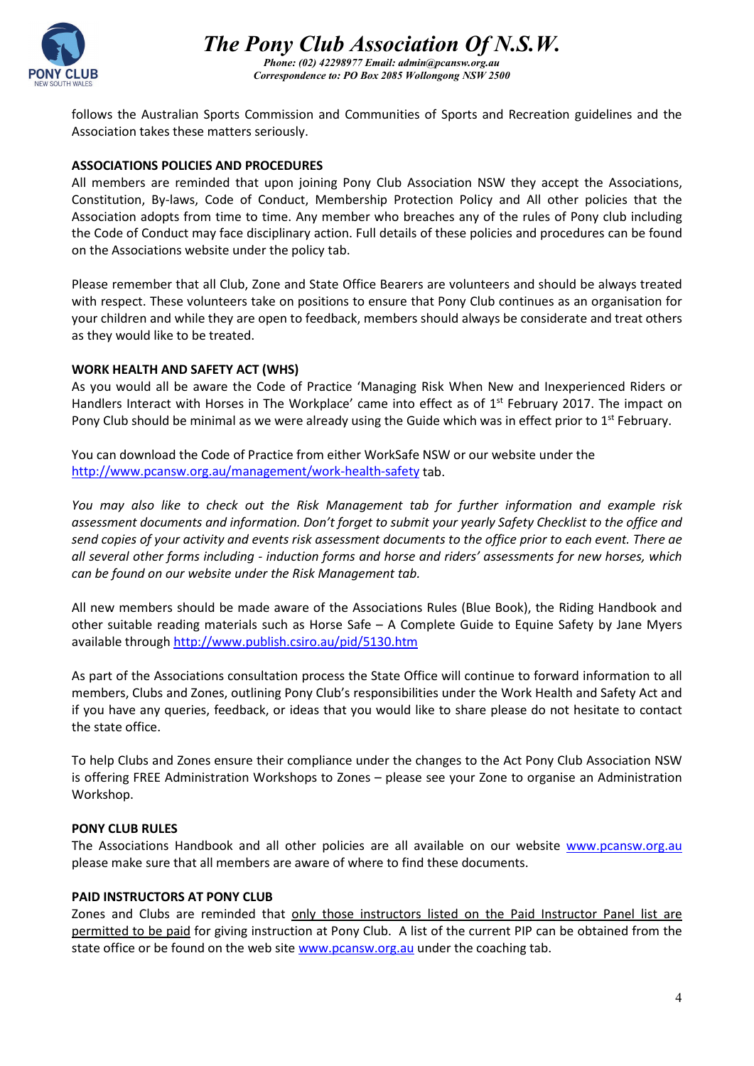

*The Pony Club Association Of N.S.W. Phone: (02) 42298977 Email: admin@pcansw.org.au Correspondence to: PO Box 2085 Wollongong NSW 2500*

follows the Australian Sports Commission and Communities of Sports and Recreation guidelines and the Association takes these matters seriously.

#### **ASSOCIATIONS POLICIES AND PROCEDURES**

All members are reminded that upon joining Pony Club Association NSW they accept the Associations, Constitution, By-laws, Code of Conduct, Membership Protection Policy and All other policies that the Association adopts from time to time. Any member who breaches any of the rules of Pony club including the Code of Conduct may face disciplinary action. Full details of these policies and procedures can be found on the Associations website under the policy tab.

Please remember that all Club, Zone and State Office Bearers are volunteers and should be always treated with respect. These volunteers take on positions to ensure that Pony Club continues as an organisation for your children and while they are open to feedback, members should always be considerate and treat others as they would like to be treated.

## **WORK HEALTH AND SAFETY ACT (WHS)**

As you would all be aware the Code of Practice 'Managing Risk When New and Inexperienced Riders or Handlers Interact with Horses in The Workplace' came into effect as of  $1<sup>st</sup>$  February 2017. The impact on Pony Club should be minimal as we were already using the Guide which was in effect prior to 1<sup>st</sup> February.

You can download the Code of Practice from either WorkSafe NSW or our website under the <http://www.pcansw.org.au/management/work-health-safety> tab.

*You may also like to check out the Risk Management tab for further information and example risk assessment documents and information. Don't forget to submit your yearly Safety Checklist to the office and send copies of your activity and events risk assessment documents to the office prior to each event. There ae all several other forms including - induction forms and horse and riders' assessments for new horses, which can be found on our website under the Risk Management tab.* 

All new members should be made aware of the Associations Rules (Blue Book), the Riding Handbook and other suitable reading materials such as Horse Safe – A Complete Guide to Equine Safety by Jane Myers available through <http://www.publish.csiro.au/pid/5130.htm>

As part of the Associations consultation process the State Office will continue to forward information to all members, Clubs and Zones, outlining Pony Club's responsibilities under the Work Health and Safety Act and if you have any queries, feedback, or ideas that you would like to share please do not hesitate to contact the state office.

To help Clubs and Zones ensure their compliance under the changes to the Act Pony Club Association NSW is offering FREE Administration Workshops to Zones – please see your Zone to organise an Administration Workshop.

#### **PONY CLUB RULES**

The Associations Handbook and all other policies are all available on our website [www.pcansw.org.au](http://www.pcansw.org.au/) please make sure that all members are aware of where to find these documents.

#### **PAID INSTRUCTORS AT PONY CLUB**

Zones and Clubs are reminded that only those instructors listed on the Paid Instructor Panel list are permitted to be paid for giving instruction at Pony Club. A list of the current PIP can be obtained from the state office or be found on the web site [www.pcansw.org.au](http://www.pcansw.org.au/) under the coaching tab.